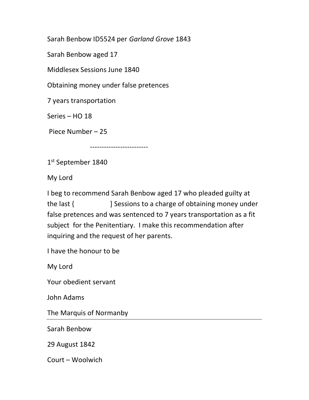Sarah Benbow ID5524 per Garland Grove 1843

Sarah Benbow aged 17

Middlesex Sessions June 1840

Obtaining money under false pretences

7 years transportation

Series – HO 18

Piece Number – 25

-------------------------

1st September 1840

My Lord

I beg to recommend Sarah Benbow aged 17 who pleaded guilty at the last { ] Sessions to a charge of obtaining money under false pretences and was sentenced to 7 years transportation as a fit subject for the Penitentiary. I make this recommendation after inquiring and the request of her parents.

I have the honour to be

My Lord

Your obedient servant

John Adams

The Marquis of Normanby

Sarah Benbow

29 August 1842

Court – Woolwich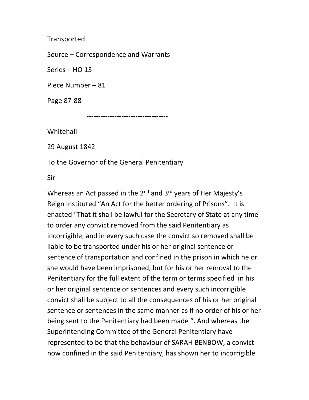Transported

Source – Correspondence and Warrants

Series – HO 13

Piece Number – 81

Page 87-88

-----------------------------------

**Whitehall** 

29 August 1842

To the Governor of the General Penitentiary

Sir

Whereas an Act passed in the 2<sup>nd</sup> and 3<sup>rd</sup> years of Her Majesty's Reign Instituted "An Act for the better ordering of Prisons". It is enacted "That it shall be lawful for the Secretary of State at any time to order any convict removed from the said Penitentiary as incorrigible; and in every such case the convict so removed shall be liable to be transported under his or her original sentence or sentence of transportation and confined in the prison in which he or she would have been imprisoned, but for his or her removal to the Penitentiary for the full extent of the term or terms specified in his or her original sentence or sentences and every such incorrigible convict shall be subject to all the consequences of his or her original sentence or sentences in the same manner as if no order of his or her being sent to the Penitentiary had been made ". And whereas the Superintending Committee of the General Penitentiary have represented to be that the behaviour of SARAH BENBOW, a convict now confined in the said Penitentiary, has shown her to incorrigible